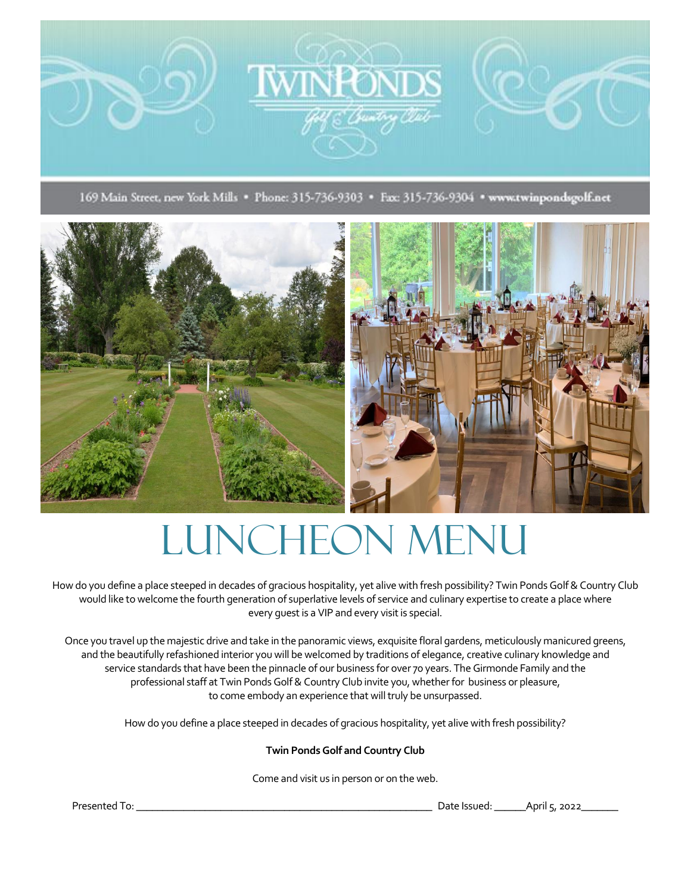

169 Main Street, new York Mills · Phone: 315-736-9303 · Fax: 315-736-9304 · www.twinpondsgolf.net





## Luncheon Menu

How do you define a place steeped in decades of gracious hospitality, yet alive with fresh possibility? Twin Ponds Golf & Country Club would like to welcome the fourth generation of superlative levels of service and culinary expertise to create a place where every guest is a VIP and every visit is special.

Once you travel up the majestic drive and take in the panoramic views, exquisite floral gardens, meticulously manicured greens, and the beautifully refashioned interior you will be welcomed by traditions of elegance, creative culinary knowledge and service standards that have been the pinnacle of our business for over 70 years. The Girmonde Family and the professional staff at Twin Ponds Golf & Country Club invite you, whether for business or pleasure, to come embody an experience that will truly be unsurpassed.

How do you define a place steeped in decades of gracious hospitality, yet alive with fresh possibility?

#### **Twin Ponds Golf and Country Club**

Come and visit us in person or on the web.

Presented To: \_\_\_\_\_\_\_\_\_\_\_\_\_\_\_\_\_\_\_\_\_\_\_\_\_\_\_\_\_\_\_\_\_\_\_\_\_\_\_\_\_\_\_\_\_\_\_\_\_\_\_\_\_\_\_\_ Date Issued: \_\_\_\_\_\_April 5, 2022\_\_\_\_\_\_\_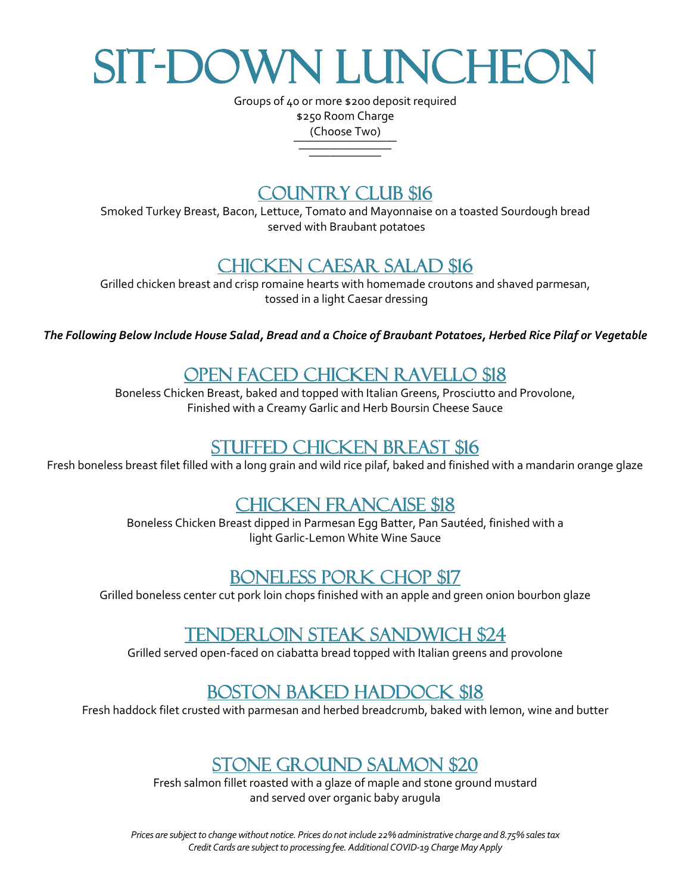# SIT-DOWN LUNCHEOI

Groups of 40 or more \$200 deposit required \$250 Room Charge (Choose Two)

—————————— ————————— ———————

### COUNTRY CLUB \$16

Smoked Turkey Breast, Bacon, Lettuce, Tomato and Mayonnaise on a toasted Sourdough bread served with Braubant potatoes

### Chicken Caesar Salad \$16

Grilled chicken breast and crisp romaine hearts with homemade croutons and shaved parmesan, tossed in a light Caesar dressing

*The Following Below Include House Salad, Bread and a Choice of Braubant Potatoes, Herbed Rice Pilaf or Vegetable*

### Open Faced chicken Ravello \$18

Boneless Chicken Breast, baked and topped with Italian Greens, Prosciutto and Provolone, Finished with a Creamy Garlic and Herb Boursin Cheese Sauce

#### Stuffed Chicken Breast \$16

Fresh boneless breast filet filled with a long grain and wild rice pilaf, baked and finished with a mandarin orange glaze

### Chicken Francaise \$18

Boneless Chicken Breast dipped in Parmesan Egg Batter, Pan Sautéed, finished with a light Garlic-Lemon White Wine Sauce

#### Boneless Pork Chop \$17

Grilled boneless center cut pork loin chops finished with an apple and green onion bourbon glaze

### Tenderloin Steak Sandwich \$24

Grilled served open-faced on ciabatta bread topped with Italian greens and provolone

## Boston Baked Haddock \$18

Fresh haddock filet crusted with parmesan and herbed breadcrumb, baked with lemon, wine and butter

#### Stone Ground Salmon \$20

Fresh salmon fillet roasted with a glaze of maple and stone ground mustard and served over organic baby arugula

*Prices are subject to change without notice. Prices do not include 22% administrative charge and 8.75% sales tax Credit Cards are subject to processing fee. Additional COVID-19 Charge May Apply*